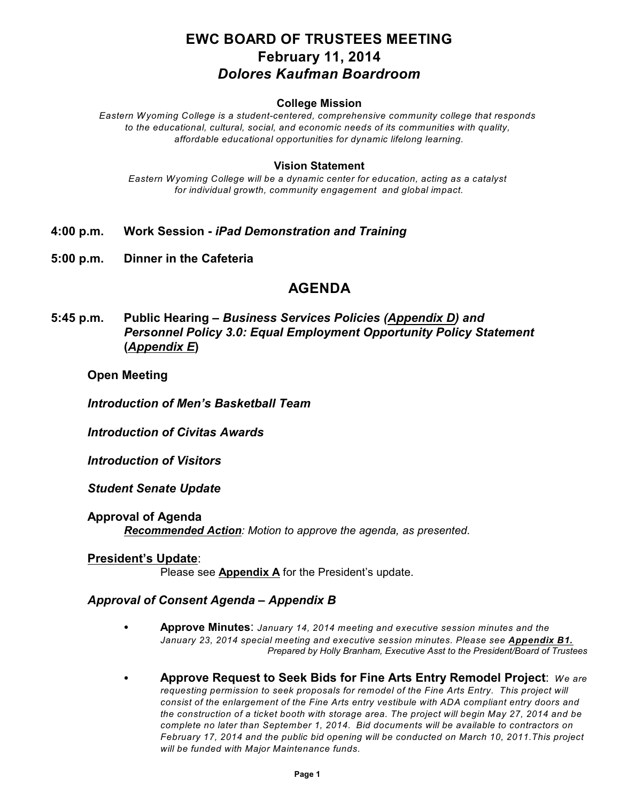# **EWC BOARD OF TRUSTEES MEETING February 11, 2014** *Dolores Kaufman Boardroom*

#### **College Mission**

*Eastern Wyoming College is a student-centered, comprehensive community college that responds to the educational, cultural, social, and economic needs of its communities with quality, affordable educational opportunities for dynamic lifelong learning.*

#### **Vision Statement**

*Eastern Wyoming College will be a dynamic center for education, acting as a catalyst for individual growth, community engagement and global impact.*

- **4:00 p.m. Work Session** *iPad Demonstration and Training*
- **5:00 p.m. Dinner in the Cafeteria**

# **AGENDA**

**5:45 p.m. Public Hearing –** *Business Services Policies (Appendix D) and Personnel Policy 3.0: Equal Employment Opportunity Policy Statement* **(***Appendix E***)**

#### **Open Meeting**

*Introduction of Men's Basketball Team*

*Introduction of Civitas Awards*

*Introduction of Visitors*

*Student Senate Update*

**Approval of Agenda** *Recommended Action: Motion to approve the agenda, as presented.*

### **President's Update**: Please see **Appendix A** for the President's update.

# *Approval of Consent Agenda – Appendix B*

- C **Approve Minutes**: *January 14, 2014 meeting and executive session minutes and the January 23, 2014 special meeting and executive session minutes. Please see Appendix B1. Prepared by Holly Branham, Executive Asst to the President/Board of Trustees*
- C **Approve Request to Seek Bids for Fine Arts Entry Remodel Project**: *We are requesting permission to seek proposals for remodel of the Fine Arts Entry. This project will consist of the enlargement of the Fine Arts entry vestibule with ADA compliant entry doors and the construction of a ticket booth with storage area. The project will begin May 27, 2014 and be complete no later than September 1, 2014. Bid documents will be available to contractors on February 17, 2014 and the public bid opening will be conducted on March 10, 2011.This project will be funded with Major Maintenance funds.*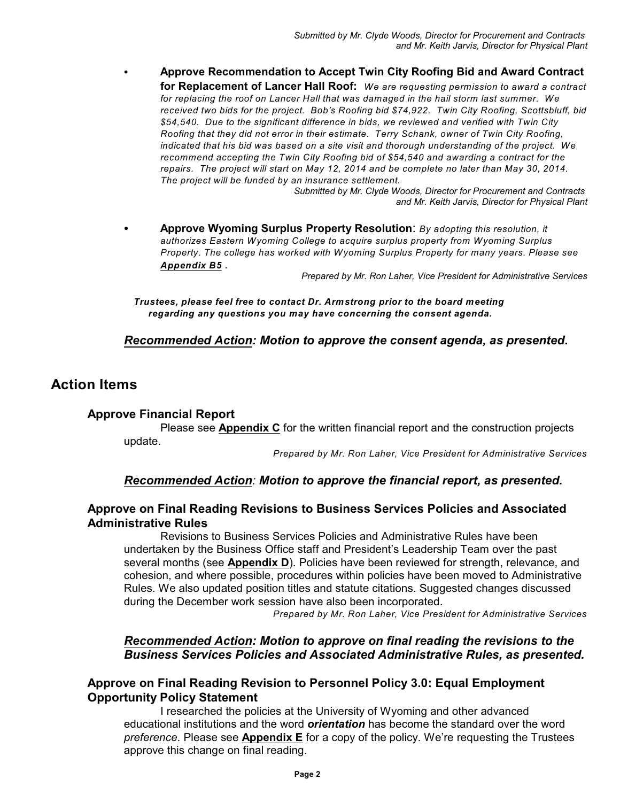C **Approve Recommendation to Accept Twin City Roofing Bid and Award Contract for Replacement of Lancer Hall Roof:** *We are requesting permission to award a contract for replacing the roof on Lancer Hall that was damaged in the hail storm last summer. We received two bids for the project. Bob's Roofing bid \$74,922. Twin City Roofing, Scottsbluff, bid \$54,540. Due to the significant difference in bids, we reviewed and verified with Twin City Roofing that they did not error in their estimate. Terry Schank, owner of Twin City Roofing, indicated that his bid was based on a site visit and thorough understanding of the project. We recommend accepting the Twin City Roofing bid of \$54,540 and awarding a contract for the repairs. The project will start on May 12, 2014 and be complete no later than May 30, 2014. The project will be funded by an insurance settlement.*

*Submitted by Mr. Clyde Woods, Director for Procurement and Contracts and Mr. Keith Jarvis, Director for Physical Plant*

C **Approve Wyoming Surplus Property Resolution**: *By adopting this resolution, it authorizes Eastern Wyoming College to acquire surplus property from Wyoming Surplus Property. The college has worked with Wyoming Surplus Property for many years. Please see Appendix B5* .

*Prepared by Mr. Ron Laher, Vice President for Administrative Services*

*Trustees, please feel free to contact Dr. Armstrong prior to the board meeting regarding any questions you may have concerning the consent agenda.*

#### *Recommended Action: Motion to approve the consent agenda, as presented***.**

# **Action Items**

#### **Approve Financial Report**

Please see **Appendix C** for the written financial report and the construction projects update.

*Prepared by Mr. Ron Laher, Vice President for Administrative Services*

#### *Recommended Action: Motion to approve the financial report, as presented.*

## **Approve on Final Reading Revisions to Business Services Policies and Associated Administrative Rules**

Revisions to Business Services Policies and Administrative Rules have been undertaken by the Business Office staff and President's Leadership Team over the past several months (see **Appendix D**). Policies have been reviewed for strength, relevance, and cohesion, and where possible, procedures within policies have been moved to Administrative Rules. We also updated position titles and statute citations. Suggested changes discussed during the December work session have also been incorporated.

*Prepared by Mr. Ron Laher, Vice President for Administrative Services*

## *Recommended Action: Motion to approve on final reading the revisions to the Business Services Policies and Associated Administrative Rules, as presented.*

## **Approve on Final Reading Revision to Personnel Policy 3.0: Equal Employment Opportunity Policy Statement**

I researched the policies at the University of Wyoming and other advanced educational institutions and the word *orientation* has become the standard over the word *preference*. Please see **Appendix E** for a copy of the policy. We're requesting the Trustees approve this change on final reading.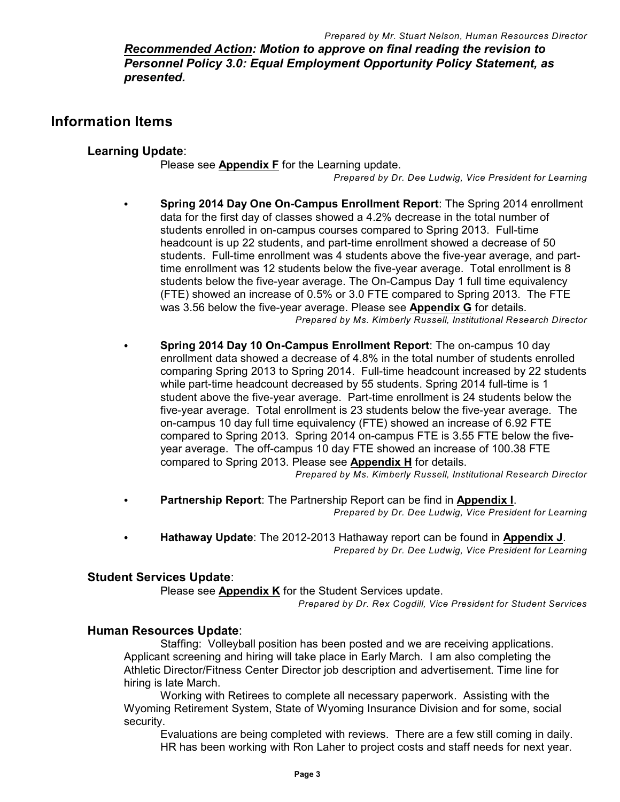*Recommended Action: Motion to approve on final reading the revision to Personnel Policy 3.0: Equal Employment Opportunity Policy Statement, as presented.*

# **Information Items**

## **Learning Update**:

Please see **Appendix F** for the Learning update.

*Prepared by Dr. Dee Ludwig, Vice President for Learning*

- Spring 2014 Day One On-Campus Enrollment Report: The Spring 2014 enrollment data for the first day of classes showed a 4.2% decrease in the total number of students enrolled in on-campus courses compared to Spring 2013. Full-time headcount is up 22 students, and part-time enrollment showed a decrease of 50 students. Full-time enrollment was 4 students above the five-year average, and parttime enrollment was 12 students below the five-year average. Total enrollment is 8 students below the five-year average. The On-Campus Day 1 full time equivalency (FTE) showed an increase of 0.5% or 3.0 FTE compared to Spring 2013. The FTE was 3.56 below the five-year average. Please see **Appendix G** for details. *Prepared by Ms. Kimberly Russell, Institutional Research Director*
- Spring 2014 Day 10 On-Campus Enrollment Report: The on-campus 10 day enrollment data showed a decrease of 4.8% in the total number of students enrolled comparing Spring 2013 to Spring 2014. Full-time headcount increased by 22 students while part-time headcount decreased by 55 students. Spring 2014 full-time is 1 student above the five-year average. Part-time enrollment is 24 students below the five-year average. Total enrollment is 23 students below the five-year average. The on-campus 10 day full time equivalency (FTE) showed an increase of 6.92 FTE compared to Spring 2013. Spring 2014 on-campus FTE is 3.55 FTE below the fiveyear average. The off-campus 10 day FTE showed an increase of 100.38 FTE compared to Spring 2013. Please see **Appendix H** for details.

*Prepared by Ms. Kimberly Russell, Institutional Research Director*

- Partnership Report: The Partnership Report can be find in Appendix I. *Prepared by Dr. Dee Ludwig, Vice President for Learning*
- C **Hathaway Update**: The 2012-2013 Hathaway report can be found in **Appendix J**. *Prepared by Dr. Dee Ludwig, Vice President for Learning*

## **Student Services Update**:

Please see **Appendix K** for the Student Services update.

*Prepared by Dr. Rex Cogdill, Vice President for Student Services*

## **Human Resources Update**:

Staffing: Volleyball position has been posted and we are receiving applications. Applicant screening and hiring will take place in Early March. I am also completing the Athletic Director/Fitness Center Director job description and advertisement. Time line for hiring is late March.

Working with Retirees to complete all necessary paperwork. Assisting with the Wyoming Retirement System, State of Wyoming Insurance Division and for some, social security.

Evaluations are being completed with reviews. There are a few still coming in daily. HR has been working with Ron Laher to project costs and staff needs for next year.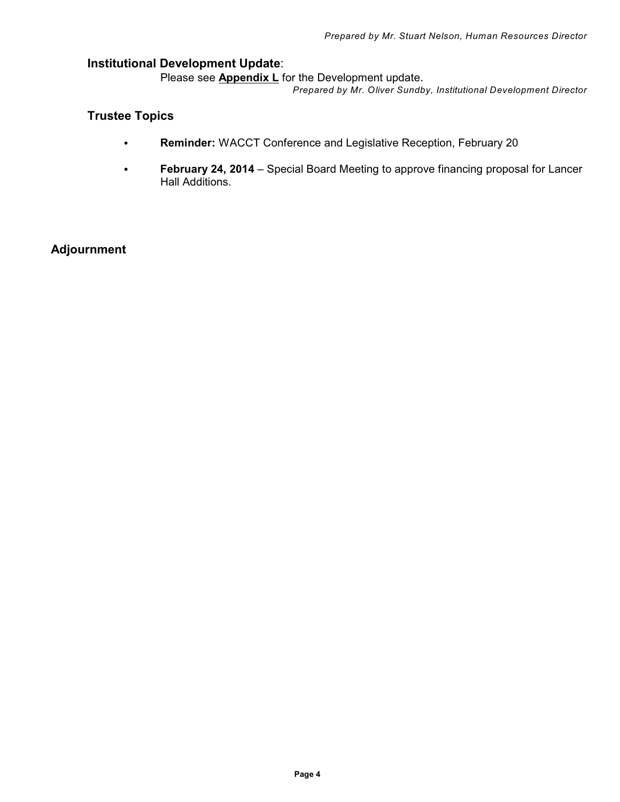## **Institutional Development Update**:

Please see **Appendix L** for the Development update.

*Prepared by Mr. Oliver Sundby, Institutional Development Director*

# **Trustee Topics**

- C **Reminder:** WACCT Conference and Legislative Reception, February 20
- **February 24, 2014** Special Board Meeting to approve financing proposal for Lancer Hall Additions.

# **Adjournment**